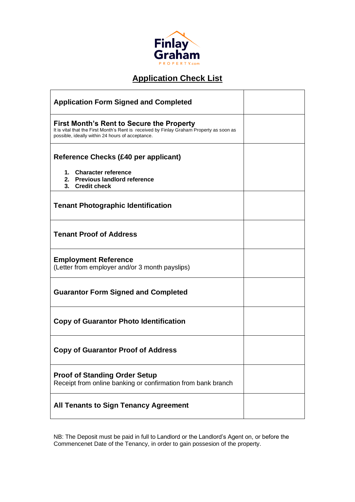

# **Application Check List**

| <b>Application Form Signed and Completed</b>                                                                                                                                              |  |
|-------------------------------------------------------------------------------------------------------------------------------------------------------------------------------------------|--|
| First Month's Rent to Secure the Property<br>It is vital that the First Month's Rent is received by Finlay Graham Property as soon as<br>possible, ideally within 24 hours of acceptance. |  |
| Reference Checks (£40 per applicant)                                                                                                                                                      |  |
| 1. Character reference<br>2. Previous landlord reference<br>3. Credit check                                                                                                               |  |
| <b>Tenant Photographic Identification</b>                                                                                                                                                 |  |
| <b>Tenant Proof of Address</b>                                                                                                                                                            |  |
| <b>Employment Reference</b><br>(Letter from employer and/or 3 month payslips)                                                                                                             |  |
| <b>Guarantor Form Signed and Completed</b>                                                                                                                                                |  |
| <b>Copy of Guarantor Photo Identification</b>                                                                                                                                             |  |
| <b>Copy of Guarantor Proof of Address</b>                                                                                                                                                 |  |
| <b>Proof of Standing Order Setup</b><br>Receipt from online banking or confirmation from bank branch                                                                                      |  |
| <b>All Tenants to Sign Tenancy Agreement</b>                                                                                                                                              |  |

NB: The Deposit must be paid in full to Landlord or the Landlord's Agent on, or before the Commencenet Date of the Tenancy, in order to gain possesion of the property.